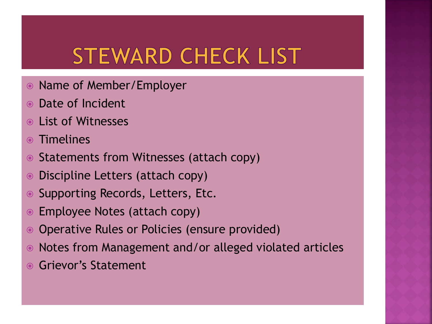## **STEWARD CHECK LIST**

- Name of Member/Employer
- Date of Incident
- List of Witnesses
- Timelines
- Statements from Witnesses (attach copy)
- Discipline Letters (attach copy)
- Supporting Records, Letters, Etc.
- Employee Notes (attach copy)
- Operative Rules or Policies (ensure provided)
- Notes from Management and/or alleged violated articles
- Grievor's Statement